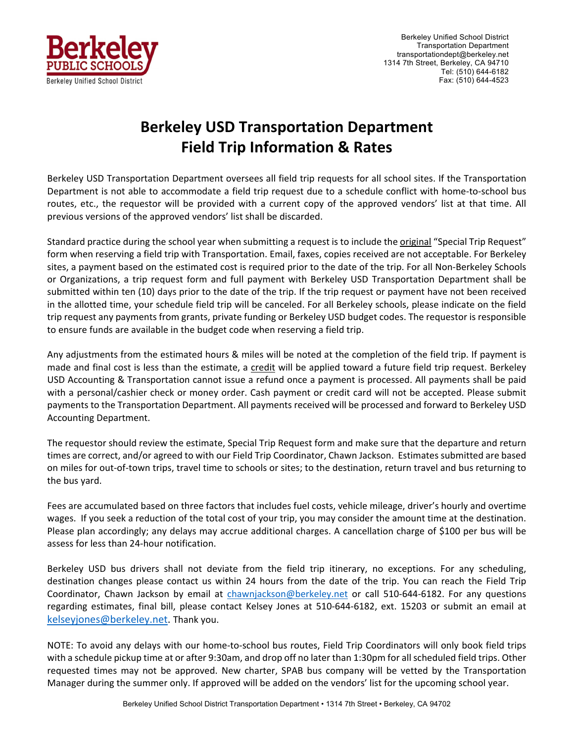

## **Berkeley USD Transportation Department Field Trip Information & Rates**

Berkeley USD Transportation Department oversees all field trip requests for all school sites. If the Transportation Department is not able to accommodate a field trip request due to a schedule conflict with home-to-school bus routes, etc., the requestor will be provided with a current copy of the approved vendors' list at that time. All previous versions of the approved vendors' list shall be discarded.

Standard practice during the school year when submitting a request is to include the original "Special Trip Request" form when reserving a field trip with Transportation. Email, faxes, copies received are not acceptable. For Berkeley sites, a payment based on the estimated cost is required prior to the date of the trip. For all Non‐Berkeley Schools or Organizations, a trip request form and full payment with Berkeley USD Transportation Department shall be submitted within ten (10) days prior to the date of the trip. If the trip request or payment have not been received in the allotted time, your schedule field trip will be canceled. For all Berkeley schools, please indicate on the field trip request any payments from grants, private funding or Berkeley USD budget codes. The requestor is responsible to ensure funds are available in the budget code when reserving a field trip.

Any adjustments from the estimated hours & miles will be noted at the completion of the field trip. If payment is made and final cost is less than the estimate, a credit will be applied toward a future field trip request. Berkeley USD Accounting & Transportation cannot issue a refund once a payment is processed. All payments shall be paid with a personal/cashier check or money order. Cash payment or credit card will not be accepted. Please submit payments to the Transportation Department. All payments received will be processed and forward to Berkeley USD Accounting Department.

The requestor should review the estimate, Special Trip Request form and make sure that the departure and return times are correct, and/or agreed to with our Field Trip Coordinator, Chawn Jackson. Estimates submitted are based on miles for out‐of‐town trips, travel time to schools or sites; to the destination, return travel and bus returning to the bus yard.

Fees are accumulated based on three factors that includes fuel costs, vehicle mileage, driver's hourly and overtime wages. If you seek a reduction of the total cost of your trip, you may consider the amount time at the destination. Please plan accordingly; any delays may accrue additional charges. A cancellation charge of \$100 per bus will be assess for less than 24‐hour notification.

Berkeley USD bus drivers shall not deviate from the field trip itinerary, no exceptions. For any scheduling, destination changes please contact us within 24 hours from the date of the trip. You can reach the Field Trip Coordinator, Chawn Jackson by email at chawnjackson@berkeley.net or call 510-644-6182. For any questions regarding estimates, final bill, please contact Kelsey Jones at 510‐644‐6182, ext. 15203 or submit an email at kelseyjones@berkeley.net. Thank you.

NOTE: To avoid any delays with our home‐to‐school bus routes, Field Trip Coordinators will only book field trips with a schedule pickup time at or after 9:30am, and drop off no later than 1:30pm for all scheduled field trips. Other requested times may not be approved. New charter, SPAB bus company will be vetted by the Transportation Manager during the summer only. If approved will be added on the vendors' list for the upcoming school year.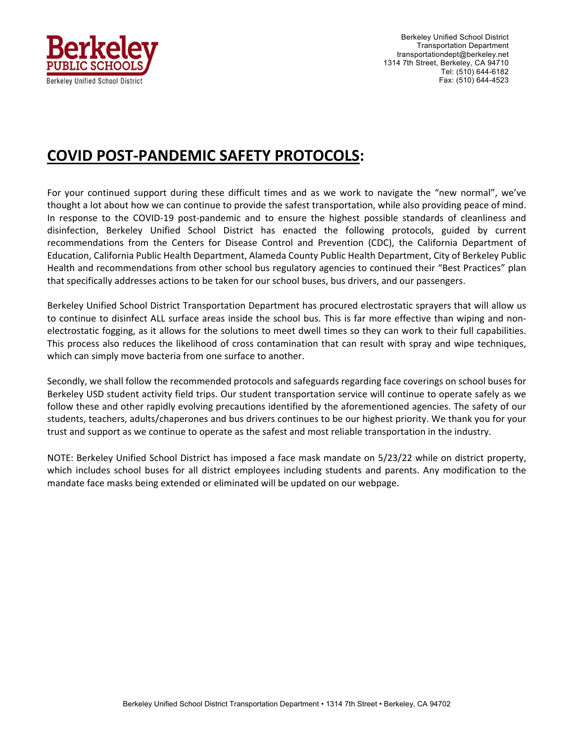

Berkeley Unified School District Transportation Department transportationdept@berkeley.net 1314 7th Street, Berkeley, CA 94710 Tel: (510) 644-6182 Fax: (510) 644-4523

## **COVID POST‐PANDEMIC SAFETY PROTOCOLS:**

For your continued support during these difficult times and as we work to navigate the "new normal", we've thought a lot about how we can continue to provide the safest transportation, while also providing peace of mind. In response to the COVID-19 post-pandemic and to ensure the highest possible standards of cleanliness and disinfection, Berkeley Unified School District has enacted the following protocols, guided by current recommendations from the Centers for Disease Control and Prevention (CDC), the California Department of Education, California Public Health Department, Alameda County Public Health Department, City of Berkeley Public Health and recommendations from other school bus regulatory agencies to continued their "Best Practices" plan that specifically addresses actions to be taken for our school buses, bus drivers, and our passengers.

Berkeley Unified School District Transportation Department has procured electrostatic sprayers that will allow us to continue to disinfect ALL surface areas inside the school bus. This is far more effective than wiping and nonelectrostatic fogging, as it allows for the solutions to meet dwell times so they can work to their full capabilities. This process also reduces the likelihood of cross contamination that can result with spray and wipe techniques, which can simply move bacteria from one surface to another.

Secondly, we shall follow the recommended protocols and safeguards regarding face coverings on school buses for Berkeley USD student activity field trips. Our student transportation service will continue to operate safely as we follow these and other rapidly evolving precautions identified by the aforementioned agencies. The safety of our students, teachers, adults/chaperones and bus drivers continues to be our highest priority. We thank you for your trust and support as we continue to operate as the safest and most reliable transportation in the industry.

NOTE: Berkeley Unified School District has imposed a face mask mandate on 5/23/22 while on district property, which includes school buses for all district employees including students and parents. Any modification to the mandate face masks being extended or eliminated will be updated on our webpage.